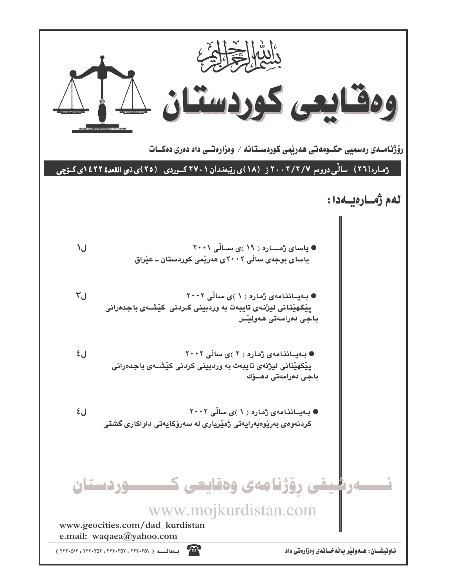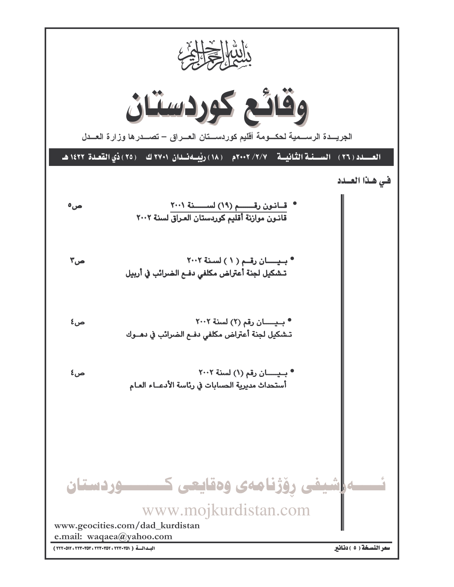| Output              | Output              |
|---------------------|---------------------|
| \n $\frac{1}{2}$ \n | \n $\frac{1}{2}$ \n |
| \n $\frac{1}{2}$ \n | \n $\frac{1}{2}$ \n |
| \n $\frac{1}{2}$ \n | \n $\frac{1}{2}$ \n |
| \n $\frac{1}{2}$ \n | \n $\frac{1}{2}$ \n |
| \n $\frac{1}{2}$ \n | \n $\frac{1}{2}$ \n |
| \n $\frac{1}{2}$ \n | \n $\frac{1}{2}$ \n |
| \n $\frac{1}{2}$ \n | \n $\frac{1}{2}$ \n |
| \n $\frac{1}{2}$ \n | \n $\frac{1}{2}$ \n |
| \n $\frac{1}{2}$ \n | \n $\frac{1}{2}$ \n |
| \n $\frac{1}{2}$ \n |                     |
| \n $\frac{1}{2}$ \n |                     |
| \n $\frac{1}{2}$ \n |                     |
| \n $\frac{1}{2}$ \n |                     |
| \n $\frac{1}{2}$ \n |                     |
| \n $\frac{1}{2}$ \n |                     |
| \n $\frac{1}{2}$ \n |                     |
| \n $\frac{1}{2}$ \n |                     |
| \n $\frac{1}{2}$ \n |                     |
| \n $\frac{1}{2}$ \n |                     |
| \n $\frac{1}{2}$ \n |                     |
| \n $\frac{1}{2}$ \n |                     |
| \n $\frac{1}{2}$ \n |                     |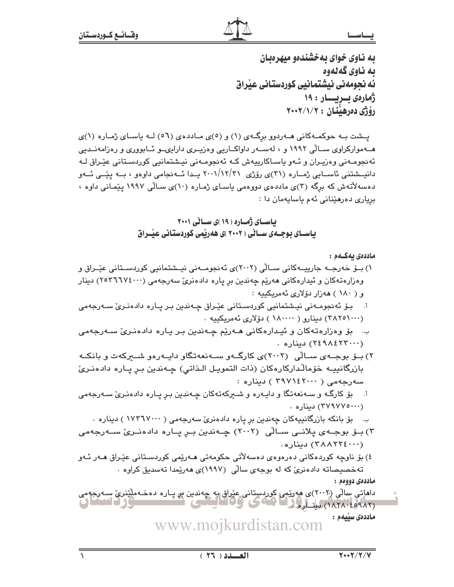به ناوی خوای به خشندهو میهرهبان به ناوي کهلهوه ئه نحومهنی نیشتمانیی کوردستانی عیراق ژهارهی بسریسسار : ۱۹ دۆۋى دەرھىندان : ٢٠٠٢/١/٢

پشت بـه حوکمـهکاني هـهردوو برگـهي (١) و (٥)ي مـاددهي (٥٦) لـه ياسـاي ژمـاره (١)ي هــهموارکراوی ســالّی ۱۹۹۲ و ، لهســهر داواکــاریی وهزیــری دارایىــو ئــابووری و رهزامهنــدیی ئەنجومـەنى وەزيـران و ئـەو ياسـاكارييەش كـە ئەنجومـەنى نيـشتمانيي كوردسـتانى عێـراق لـە دانیــشتنی ئاســایی ژمــاره (۳۱)ی رۆژی ۲۰۰۱/۱۲/۳۱ پــدا ئـــه نجامی داوهو ، بــه ییّــی ئــهو دهسهلاٌتهش که برگه (۳)ی ماددهی دووهمی پاسای ژماره (۱۰)ی سـالّی ۱۹۹۷ پێمـانی داوه ، برياري دەرھێنانى ئەم ياسايەمان دا :

> باسای ژماره ( ۱۹ )ی سالی ۲۰۰۱ باسـای بوجـهی سـانی ( ۲۰۰۲ )ی ههریمی کوردستانی عیبراق

> > ماددەي بەكــەم :

- ۱) بــۆ خەرجــە جارییـــەکانی ســالّی (۲۰۰۲)ی ئەنجومــەنی نیــشتمانیی کوردســتانی عیّــراق و وهزارهتهکان و ئیدارهکانی ههریم چهندین بر پاره دادهنری سهرجهمی (۲۵۳٦٦۷٤۰۰۰) دینار و ( ۱۸۰ ) هەزار دۆلارى ئەمرىكىيە :
- ا. بـۆ ئەنجومـەنى نيـشتمانيى كوردسـتانى عێـراق چـەندىن بـر يـارە دادەنـرى سـەرجەمى (٣٨٢٥١٠٠٠) بىنارو ( ١٨٠٠٠٠ ) يۆلارى ئەمرىكىيە.
- ب. بۆ وەزارەتەكان و ئيـدارەكانى ھـەرێم چـەندىن بـر يـارە دادەنـرىّ سـەرجەمى ٠ ٠ ٢٤٩٨٤٢٣٠٠٢) ديناره
- ۲) بــۆ بوجــهى ســالْى (۲۰۰۲)ى كارگــهو ســهنعهتگاو دايــهردو شـــبركهت و بانكــه بازرگانییـه خۆمالّدارکارهکان (ذات التمویـل الـذاتی) چـهندین بـر پـاره دادهنـریّ سەرجەمى ( ٣٩٧١٤٢٠٠٠ ) دينارە :
- ا. \_ بۆ کارگـه و سـﻪنعەتگا و دايـﻪرە و شـىركەتەكان چـﻪندين بـڕ پـارە دادەنـرێ سـﻪرجەمى (۳۷۹۷۷۰۰۰۰) دیناره .
	- ب. پو بانکه بازرگانییهکان چەندین بر یاره دادەنریؒ سەرجەمی ( ۱۷۳٦۷۰۰۰ ) دینارە ۰
- ۳) بــۆ بوجــهى پلانــى ســالّـى (۲۰۰۲) چــهندين بــږ پــاره دادەنــرئ ســهرجهمى (۳۸۸۲۲٤٠٠٠) ديناره.
- ٤) بۆ ناوچە كوردەكانى دەرەوەي دەسەلآتى حكومەتى ھـەرێمى كوردسىتانى عێـراق ھـەر ئـەو تەخصىصاتە دادەنرى كە لە بوجەي سالى (١٩٩٧)ى ھەرپەدا تەسدىق كراوە .

ماددەي دووەم :

داماتی سالی (۲۰۰۲)ی هه رئیس کوردستانی عنراق به چهندین <del>ب</del>ر پـاره دهخـه ملکندی سـه رجه می<br>(۱۸۲۸-۱۸۲۸) دینه ارولات (۲۰۰۳) کې کوفانستانست کوفانستان (۳۰۰۳-۱۸۲۸) ماددەى سىلمم :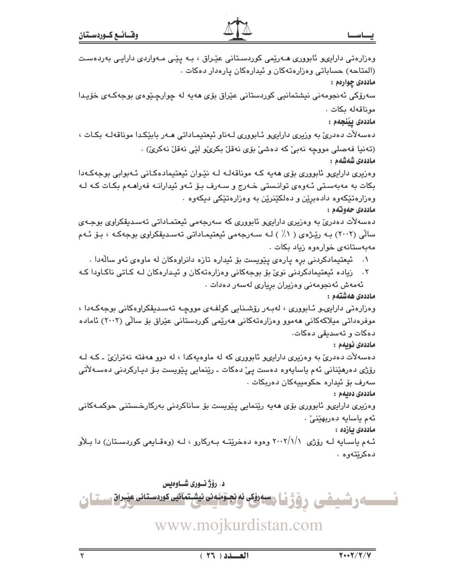| ے رشیفی روژنا معدنی نه نجتمدن نیشتمانی کوردستان عیران ست                                                 |
|----------------------------------------------------------------------------------------------------------|
| د. رؤژ نوری شـاوهیس                                                                                      |
|                                                                                                          |
|                                                                                                          |
| ئـهم یاسـایه لـه رۆژی ۲۰۰۲/۱/۱ وهوه دهخریتـه بـهرکارو ، لـه (وهقـایعی کوردسـتان) دا بـلأو<br>دەكرێتەوە . |
| ماددەى يازدە :                                                                                           |
| ئەم ياسايە دەربھێنىٚ ٠                                                                                   |
| وەزیری دارایىھو ئابوورى بۆی ھەيە رێنمايى پێویست بۆ ساناكردنى بەركارخىستنى حوكمـەكانى                     |
| ماددەى دەبەم :                                                                                           |
| سەرف بۆ ئىدارە حكومىييەكان دەربكات .                                                                     |
| رۆژی دەرھێنانی ئەم ياسايەوە دەست پیٚ دەكات ـ رێنمايی پێویست بـۆ دیـارکردنی دەسـﻪلأتی                     |
| دهسهلات دهدری به وهزیری دارایهو ئابووری که له ماوهیهکدا ، له دوو ههفته نهترازی ـ کـه لـه                 |
| ماددەى نويەم :                                                                                           |
| دەكات و تەسدىقى دەكات.                                                                                   |
| موفرەداتی میلاکەکانی ھەموو وەزارەتەکانی ھەرێمی کوردستانی عێراق بۆ سالٌی (۲۰۰۲) ئامادە                    |
| وەزارەتى دارايى و ئـابوورى ، لەبـەر رۆشىنايى كولفـەى مووچـە تەسـدىقكراوەكانى بوجەكـەدا ،                 |
| ماددەى ھەشتەم :                                                                                          |
| ئەمەش ئەنجومەنى وەزيران برِيارى لەسەر دەدات .                                                            |
| ۲.    زیاده ئیعتیمادکردنی نویؒ بۆ بوجهکانی وهزارهتهکان و ئیـدارهکان لـه کـاتی ناکـاودا کـه               |
| ۰۱      ئیعتیمادکردنی برِه پارهی پێویست بۆ ئیداره تازه دانراوهکان له ماوهی ئهو سالّهدا .                 |
| مەبەستانەى خوارەوە زياد بكات .                                                                           |
| سالّی (۲۰۰۲) بـه ریِّـژهی ( ۱٪ ) لـه سـهرجهمی ئیعتیمـاداتی تهسـدیقکراوی بوجهکـه ، بـوّ ئـهم              |
| دەسەلات دەدرىٰ بە وەزیرى دارايىو ئابوورى كە سەرجەمى ئیعتمـاداتى تەسـدىقكراوى بوجـەي                      |
| وهزارهتێکەوه دادەبڕێن و دەلکێنرێن بە وەزارەتێکى دىكەوە ٠<br>ماددەي حەوتەم :                              |
| بکات به مەبەستى ئـەوەي توانـستى خـەرج و سـەرف بـۆ ئـەو ئيدارانــە فەراھــەم بکـات کـه لــە               |
| وهزیری داراییو ئابووری بۆی هەیە کـه موناقەلـه لـه نێـوان ئیعتیمادەکـانی ئـهبوابی بوجەکـهدا               |
| ماددەى شەشەم :                                                                                           |
| (تەنيا فەصلى مووچە نەبىّ كە دەشىّ بۆى نەقلّ بكرىّۆ لێى نەقلّ نەكرىّ) .                                   |
| دەسەلأت دەدرىٰ بە وزيرى دارايىھ ئــابوورى لــەناو ئيعتيمــاداتى ھــەر بابێكـدا موناقەلــە بكـات ،        |
| ماددەى يېنجەم :                                                                                          |
| موناقەلە بكات .                                                                                          |
| سەرۆكى ئەنجومەنى نيشتمانيى كوردستانى عێراق بۆى ھەيە لە چوارچـێوەى بوجەكـەى خۆيـدا                        |
| ماددهۍ چوارهم :                                                                                          |
| (المتاحه) حساباتی وهزارهتهکان و ئیدارهکان پارهدار دهکات .                                                |
| وەزارەتى دارايىھ ئابوورى ھـﻪرێمى كوردسـتانى عێـراق ، بـﻪ پێـى مـﻪواردى دارايـى بەردەسـت                  |
|                                                                                                          |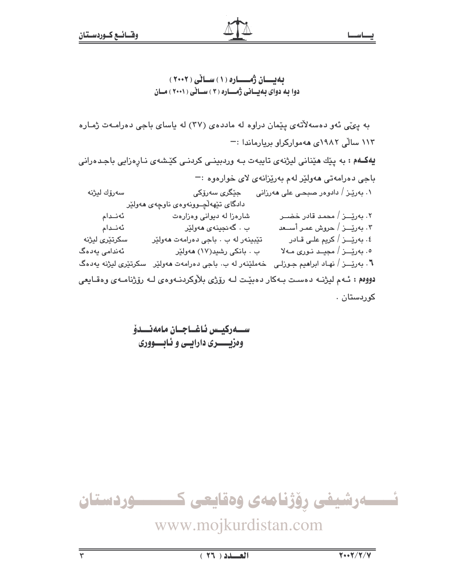به پئی ئهو دهسهلاتهی پیمان دراوه له ماددهی (۳۷) له پاسای باجی دهرامهت ژماره ١١٣ سالّی ١٩٨٢ی ههموارکراو بريارماندا :-**یهکـهم :** به پێك هێنانی لیژنهی تایبهت بـه وردبینـی كردنـی كێشهى نـارِهزایی باجـدهرانی باجي دەرامەتى ھەولێر لەم بەرێزانەي لاي خوارەوە :− ۰۱ بەرپىز / دادوەر صىبحى على ھەرزانى جێگرى سەرۆكى سەرۆك لېژنە دادگای تێههڵچوونهوهی ناوچهی ههولێر ئەنىدام ۲. بەرپّــز / محمد قادر خضــر شارهزا له دیوانی وهزارهت ۳. بەرێـــز / حروش عمـر أســـعد ئەنىدام ب . گەنجينەي مەولێر سكرتێرى ليژنه تێبینەر لە ب ٠ باجى دەرامەت ھەولێر ٤. بەرێـــز / كريم علــي قــادر ٥. بەرێـــز / مجیــد نـوری مــهلا ئەندامى يەدەگ ب . بانکی رشید(۱۷) هەولێر **٦** . بەرێـــز / نهـاد ابراهيم جـوزلـی خەملێنەر لە ب. باجی دەرامەت ھەولێر سکرتێری لیژنە يەدەگ دووم : ئـهم ليژنـه دهسـت بـهكار دهبيّـت لـه رۆژى بلاّوكردنـهوهى لـه رۆژنامـهى وهقـايعى کوردستان .

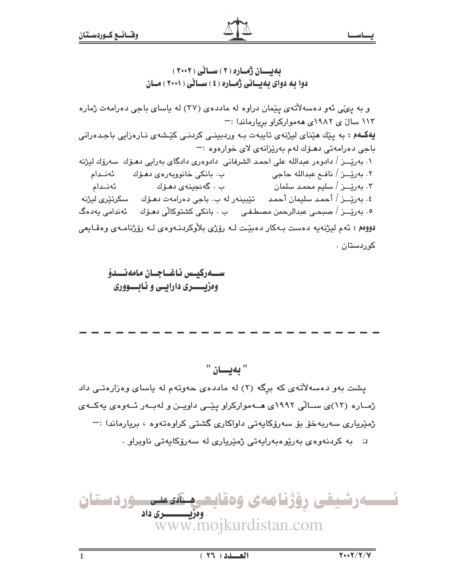بهبسان ژماره (۲) سالی (۲۰۰۲) دوا به دوای بهیسانی ژمساره (٤) سسائی ( ۲۰۰۱ ) مسان

و به ییمی نهو دهسهلاتهی ییمان دراوه له ماددهی (۳۷) له یاسای باجی دهرامهت ژماره ١١٣ سالٌ ي ١٩٨٢ي ههمواركراو بريارماندا :-یهکـهم : به پێك هێنای لیژنهی تایبهت بـه وردبینـی كردنـی كێشهى نـارهزایی باجـدهرانی باجي دهرامهتي دهـۆك لهم بهريزانهي لاي خوارهوه := ١. بەرێــز / دادوەر عبدالله على احمد الشرفانى دادوەرى دادگاى بەرابى دھـۆك سەرۆك ليژنه ئەنىدام ب . گەنجينەي دھۆك ۴. بەرێـــز / سلیم محمـد سلمان ٤. بەرێــز / أحمد سليمان أحمد \_ تێبينەر له ب. باجى دەرامەت دھـۆك \_ سكرتێرى ليژنه ٥. بەرێــز / صبحـی عبدالرحمن مصطـفـی ب ، بانکی کشتوکالّی دھـۆك ئەندامی يەدەگ دووم : ئەم ليژنەيە دەست بەكار دەبيّت لــه رۆژى بلاّوكردنــهوەي لــه رۆژنامــهى وەقــايعى کوردستان .

ستتەركىيس ئاغتاجتان مامەنتىدۇ وهزيسسري دارايسي و ئـابـــووري

" به بان "

یشت بهو دهسهلاتهی که برگه (۲) له ماددهی حهوتهم له یاسای وهزارهتی داد ژمــاره (۱۲)ی ســالّی ۱۹۹۲ی هــهموارکراو پێــی داویــن و لهبــهر ئــهوهی پهکــهی ژمێريارى سەربەخۆ بۆ سەرۆكاپەتى داواكارى گشتى كراوەتەوە ، بريارماندا :¬  $\cdot$  يه کردنهوهي بهريوهبهرايهتي ژميرياري له سهرۆکايهتي ناويراو

ئـــــەرشيفى رۆژنامەى وەقايعــم كمىمــوردستان ومزیــــــــــری داد www.mojkurdistan.com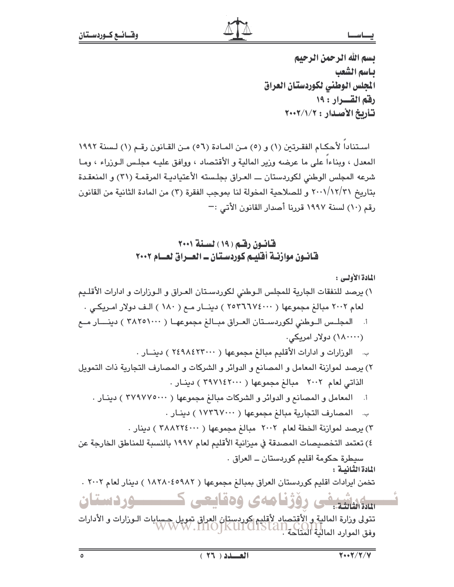بسم الله الرحمن الرحيم باسم الشعب الجلس الوطني لكوردستان العراق رفقم القسرار : ١٩ تأريخ الأصدار : ٢٠٠٢/١/٢

اسـتناداً لأحكـام الفقـرتين (١) و (٥) مـن المـادة (٥٦) مـن القـانون رقـم (١) لـسنة ١٩٩٢ المعدل ، وبناءاً على ما عرضه وزير المالية و الأقتصاد ، ووافق عليـه مجلـس الـوزراء ، ومـا شرعه المجلس الوطني لكوردستان ـــ العراق بجلسته الأعتياديـة المرقمـة (٣١) و المنعقـدة بتاريخ ٢٠٠١/١٢/٣١ و للصلاحية المخولة لنا بموجب الفقرة (٣) من المادة الثانية من القانون رقم (١٠) لسنة ١٩٩٧ قررنا أصدار القانون الأتي :—

## قانون رقم (١٩) لسنة ٢٠٠١ فانبون موازنية أفليم كوردستان ـ العبراق لعبام ٢٠٠٢

المادة الأولى :